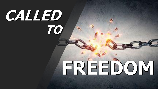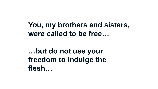**You, my brothers and sisters, were called to be free…** 

**…but do not use your freedom to indulge the flesh…**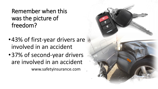Remember when this was the picture of freedom?

- •43% of first-year drivers are involved in an accident
- •37% of second-year drivers are involved in an accident www.safetyinsurance.com

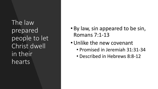The law prepared people to let Christ dwell in their hearts

- By law, sin appeared to be sin, Romans 7:1-13
- •Unlike the new covenant
	- Promised in Jeremiah 31:31-34
	- Described in Hebrews 8:8-12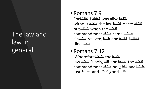## The law and law in general

## • Romans 7:9

For  $\frac{61161}{ }$  |  $\frac{61473}{ }$  was alive  $\frac{62198}{ }$ without<sup>[G5565](num:G5565)</sup> the law<sup>[G3551](num:G3551)</sup> once: [G4218](num:G4218) but<sup>[G1161](num:G1161)</sup> when the <sup>[G3588](num:G3588)</sup> commandment<sup>[G1785](num:G1785)</sup> came, [G2064](num:G2064) sin [G266](num:G266) revived, [G326](num:G326) and [G1161](num:G1161) | [G1473](num:G1473) died. $\frac{G599}{2}$  $\frac{G599}{2}$  $\frac{G599}{2}$ 

## • Romans 7:12

Wherefore **[G5620](num:G5620)** the [G3588](num:G3588) law<sup>[G3551](num:G3551)</sup> *is* holy, <sup>[G40](num:G40)</sup> and <sup>[G2532](num:G2532)</sup> the [G3588](num:G3588)</sup> commandment  $G1785$  holy,  $G40$  and  $G2532$ just,  $\frac{61342}{ }$  and  $\frac{62532}{ }$  good.  $\frac{618}{ }$